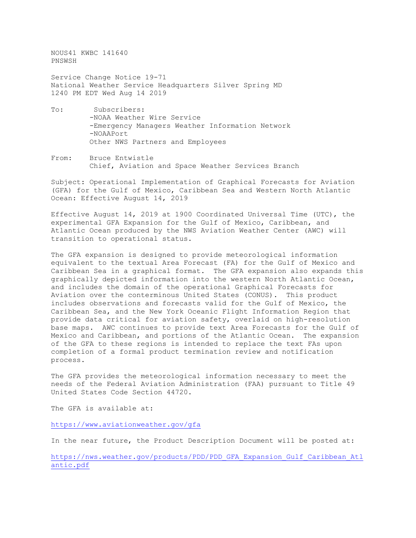NOUS41 KWBC 141640 PNSWSH

Service Change Notice 19-71 National Weather Service Headquarters Silver Spring MD 1240 PM EDT Wed Aug 14 2019

- To: Subscribers: -NOAA Weather Wire Service -Emergency Managers Weather Information Network -NOAAPort Other NWS Partners and Employees
- From: Bruce Entwistle Chief, Aviation and Space Weather Services Branch

Subject: Operational Implementation of Graphical Forecasts for Aviation (GFA) for the Gulf of Mexico, Caribbean Sea and Western North Atlantic Ocean: Effective August 14, 2019

Effective August 14, 2019 at 1900 Coordinated Universal Time (UTC), the experimental GFA Expansion for the Gulf of Mexico, Caribbean, and Atlantic Ocean produced by the NWS Aviation Weather Center (AWC) will transition to operational status.

The GFA expansion is designed to provide meteorological information equivalent to the textual Area Forecast (FA) for the Gulf of Mexico and Caribbean Sea in a graphical format. The GFA expansion also expands this graphically depicted information into the western North Atlantic Ocean, and includes the domain of the operational Graphical Forecasts for Aviation over the conterminous United States (CONUS). This product includes observations and forecasts valid for the Gulf of Mexico, the Caribbean Sea, and the New York Oceanic Flight Information Region that provide data critical for aviation safety, overlaid on high-resolution base maps. AWC continues to provide text Area Forecasts for the Gulf of Mexico and Caribbean, and portions of the Atlantic Ocean. The expansion of the GFA to these regions is intended to replace the text FAs upon completion of a formal product termination review and notification process.

The GFA provides the meteorological information necessary to meet the needs of the Federal Aviation Administration (FAA) pursuant to Title 49 United States Code Section 44720.

The GFA is available at:

<https://www.aviationweather.gov/gfa>

In the near future, the Product Description Document will be posted at:

https://nws.weather.gov/products/PDD/PDD GFA Expansion Gulf Caribbean Atl [antic.pdf](https://nws.weather.gov/products/PDD/PDD_GFA_Expansion_Gulf_Caribbean_Atlantic.pdf)